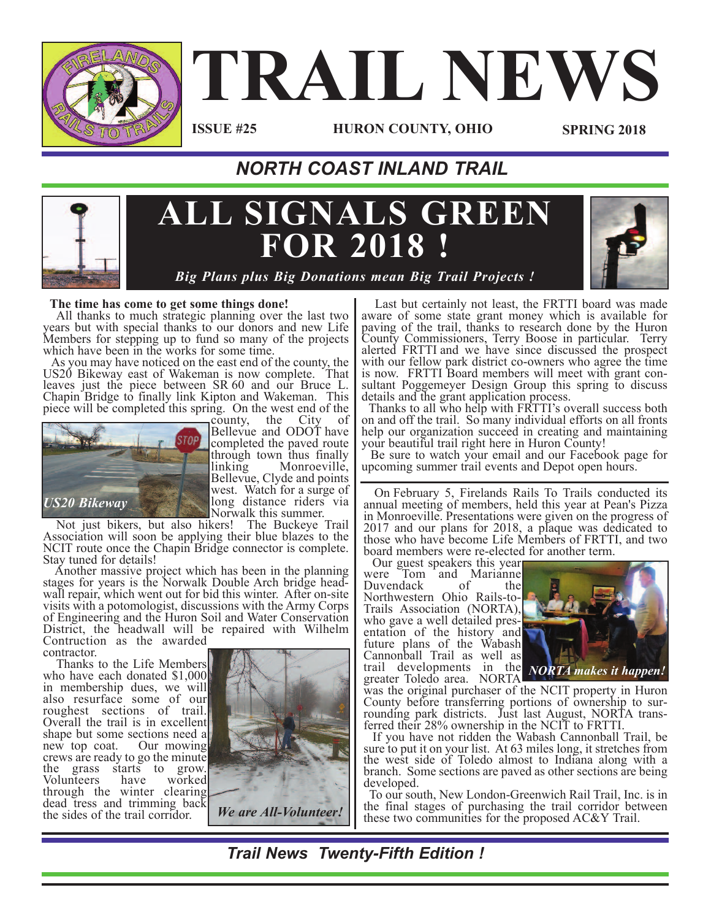

# **TRAIL NEWS**

### **ISSUE #25**

**HURON COUNTY, OHIO SPRING 2018**

## *NORTH COAST INLAND TRAIL*



**The time has come to get some things done!**

All thanks to much strategic planning over the last two years but with special thanks to our donors and new Life Members for stepping up to fund so many of the projects which have been in the works for some time.<br>As you may have noticed on the east end of the county, the

US20 Bikeway east of Wakeman is now complete. That leaves just the piece between SR <sup>60</sup> and our Bruce L. Chapin Bridge to finally link Kipton and Wakeman. This piece will be completed this spring. On the west end of the<br>county, the City of



county, the Bellevue and ODOT have completed the paved route through town thus finally linking Monroeville, Bellevue, Clyde and points west. Watch for a surge of long distance riders via<br>Norwalk this summer.

Not just bikers, but also hikers! The Buckeye Trail Association will soon be applying their blue blazes to the NCIT route once the Chapin Bridge connector is complete. Stay tuned for details!

Another massive project which has been in the planning stages for years is the Norwalk Double Arch bridge head- wall repair, which went out for bid this winter. After on-site wall repair, which went out for bid this winter. After on-site visits with a potomologist, discussions with the Army Corps of Engineering and the Huron Soil and Water Conservation District, the headwall will be repaired with Wilhelm

Contruction as the awarded

Thanks to the Life Members. who have each donated \$1,000 in membership dues, we will also resurface some of our roughest sections of trail. Overall the trail is in excellent shape but some sections need a new top coat. Our mowing crews are ready to go the minute the grass starts to grow. Volunteers have worked through the winter clearing dead tress and trimming back the sides of the trail corridor.



Last but certainly not least, the FRTTI board was made aware of some state grant money which is available for paving of the trail, thanks to research done by the Huron County Commissioners, Terry Boose in particular. Terry alerted FRTTI and we have since discussed the prospect with our fellow park district co-owners who agree the time is now. FRTTI Board members will meet with grant con- sultant Poggemeyer Design Group this spring to discuss

details and the grant application process.<br>Thanks to all who help with FRTTI's overall success both on and off the trail. So many individual efforts on all fronts help our organization succeed in creating and maintaining your beautiful trail right here in Huron County!

Be sure to watch your email and our Facebook page for upcoming summer trail events and Depot open hours.

On February 5, Firelands Rails To Trails conducted its annual meeting of members, held this year at Pean's Pizza in Monroeville. Presentations were given on the progress of 2017 and our plans for 2018, a plaque was dedicated to those who have become Life Members of FRTTI, and two board members were re-elected for another term. Our guest speakers this year

were Tom and Marianne<br>Duvendack of the Duvendack of the<br>Northwestern Ohio Rails-to-Northwestern Ohio Rails-to-<br>Trails Association (NORTA),<br>who gave a well detailed pres-<br>entation of the history and future plans of the Wabash Cannonball Trail as well as trail developments in the greater Toledo area. NORTA *NORTA makes it happen!*



was the original purchaser of the NCIT property in Huron County before transferring portions of ownership to sur- rounding park districts. Just last August, NORTA trans- ferred their 28% ownership in the NCIT to FRTTI. If you have not ridden the Wabash Cannonball Trail, be

sure to put it on your list. At 63 miles long, it stretches from the west side of Toledo almost to Indiana along with a branch. Some sections are paved as other sections are being

To our south, New London-Greenwich Rail Trail, Inc. is in the final stages of purchasing the trail corridor between these two communities for the proposed AC&Y Trail.

*Trail News Twenty-Fifth Edition !*